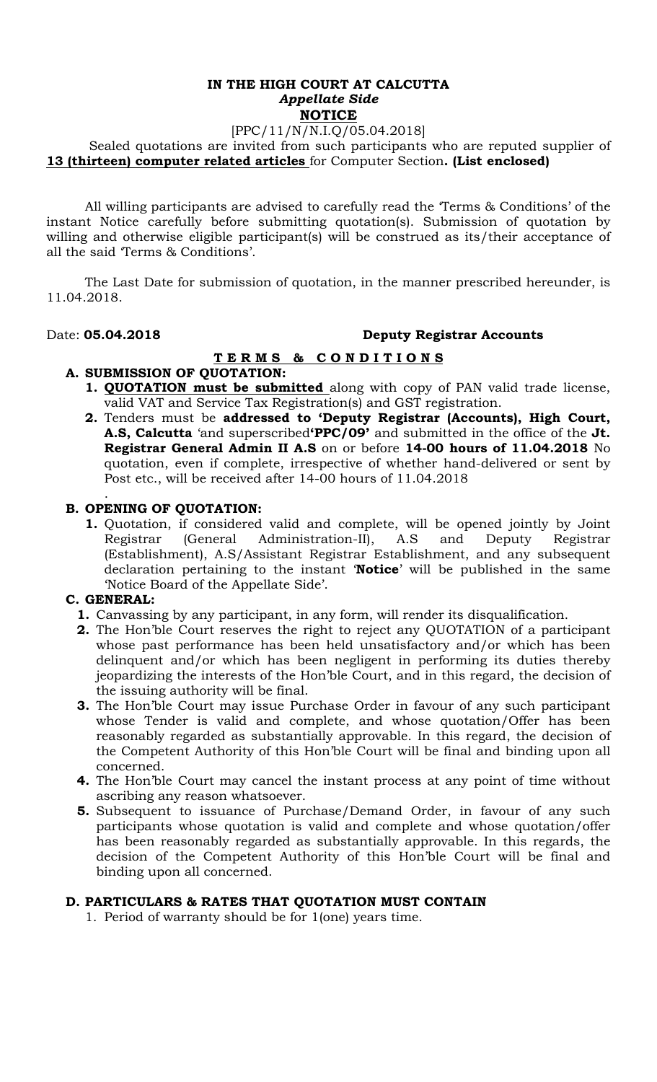### **IN THE HIGH COURT AT CALCUTTA**  *Appellate Side* **NOTICE**

## [PPC/11/N/N.I.Q/05.04.2018]

 Sealed quotations are invited from such participants who are reputed supplier of **13 (thirteen) computer related articles** for Computer Section**. (List enclosed)** 

All willing participants are advised to carefully read the 'Terms & Conditions' of the instant Notice carefully before submitting quotation(s). Submission of quotation by willing and otherwise eligible participant(s) will be construed as its/their acceptance of all the said 'Terms & Conditions'.

The Last Date for submission of quotation, in the manner prescribed hereunder, is 11.04.2018.

## Date: **05.04.2018 Deputy Registrar Accounts**

### **T E R M S & C O N D I T I O N S A. SUBMISSION OF QUOTATION:**

- **1. QUOTATION must be submitted** along with copy of PAN valid trade license, valid VAT and Service Tax Registration(s) and GST registration.
- **2.** Tenders must be **addressed to 'Deputy Registrar (Accounts), High Court, A.S, Calcutta** 'and superscribed**'PPC/09'** and submitted in the office of the **Jt. Registrar General Admin II A.S** on or before **14-00 hours of 11.04.2018** No quotation, even if complete, irrespective of whether hand-delivered or sent by Post etc., will be received after 14-00 hours of 11.04.2018

#### . **B. OPENING OF QUOTATION:**

**1.** Quotation, if considered valid and complete, will be opened jointly by Joint Registrar (General Administration-II), A.S and Deputy Registrar (Establishment), A.S/Assistant Registrar Establishment, and any subsequent declaration pertaining to the instant '**Notice**' will be published in the same 'Notice Board of the Appellate Side'.

# **C. GENERAL:**

- **1.** Canvassing by any participant, in any form, will render its disqualification.
- **2.** The Hon'ble Court reserves the right to reject any QUOTATION of a participant whose past performance has been held unsatisfactory and/or which has been delinquent and/or which has been negligent in performing its duties thereby jeopardizing the interests of the Hon'ble Court, and in this regard, the decision of the issuing authority will be final.
- **3.** The Hon'ble Court may issue Purchase Order in favour of any such participant whose Tender is valid and complete, and whose quotation/Offer has been reasonably regarded as substantially approvable. In this regard, the decision of the Competent Authority of this Hon'ble Court will be final and binding upon all concerned.
- **4.** The Hon'ble Court may cancel the instant process at any point of time without ascribing any reason whatsoever.
- **5.** Subsequent to issuance of Purchase/Demand Order, in favour of any such participants whose quotation is valid and complete and whose quotation/offer has been reasonably regarded as substantially approvable. In this regards, the decision of the Competent Authority of this Hon'ble Court will be final and binding upon all concerned.

# **D. PARTICULARS & RATES THAT QUOTATION MUST CONTAIN**

1. Period of warranty should be for 1(one) years time.